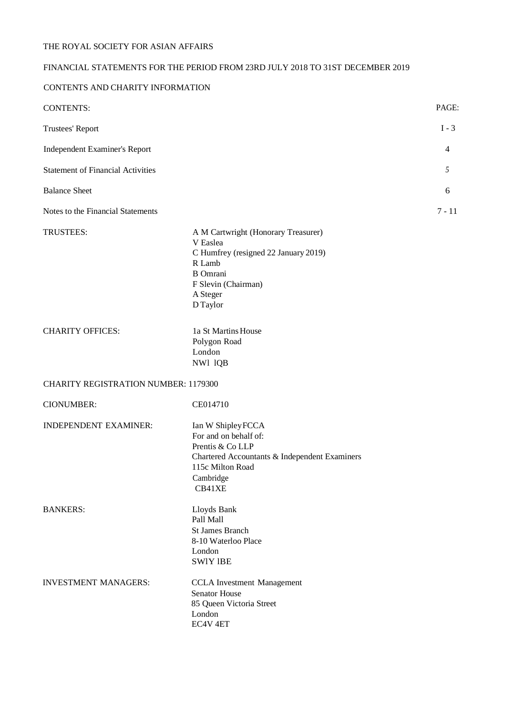# FINANCIAL STATEMENTS FOR THE PERIOD FROM 23RD JULY 2018 TO 31ST DECEMBER 2019

# CONTENTS AND CHARITY INFORMATION

| <b>CONTENTS:</b>                            |                                                                                                                                                                     | PAGE:    |
|---------------------------------------------|---------------------------------------------------------------------------------------------------------------------------------------------------------------------|----------|
| Trustees' Report                            |                                                                                                                                                                     | $I - 3$  |
| Independent Examiner's Report               |                                                                                                                                                                     | 4        |
| <b>Statement of Financial Activities</b>    |                                                                                                                                                                     | 5        |
| <b>Balance Sheet</b>                        |                                                                                                                                                                     | 6        |
| Notes to the Financial Statements           |                                                                                                                                                                     | $7 - 11$ |
| TRUSTEES:                                   | A M Cartwright (Honorary Treasurer)<br>V Easlea<br>C Humfrey (resigned 22 January 2019)<br>R Lamb<br><b>B</b> Omrani<br>F Slevin (Chairman)<br>A Steger<br>D Taylor |          |
| <b>CHARITY OFFICES:</b>                     | 1a St Martins House<br>Polygon Road<br>London<br>NW1 1QB                                                                                                            |          |
| <b>CHARITY REGISTRATION NUMBER: 1179300</b> |                                                                                                                                                                     |          |
| <b>CIONUMBER:</b>                           | CE014710                                                                                                                                                            |          |
| <b>INDEPENDENT EXAMINER:</b>                | Ian W Shipley FCCA<br>For and on behalf of:<br>Prentis & Co LLP<br>Chartered Accountants & Independent Examiners<br>115c Milton Road<br>Cambridge<br>CB41XE         |          |
| <b>BANKERS:</b>                             | Lloyds Bank<br>Pall Mall<br><b>St James Branch</b><br>8-10 Waterloo Place<br>London<br><b>SWIY IBE</b>                                                              |          |
| <b>INVESTMENT MANAGERS:</b>                 | <b>CCLA</b> Investment Management<br><b>Senator House</b><br>85 Queen Victoria Street<br>London<br>EC4V <sub>4ET</sub>                                              |          |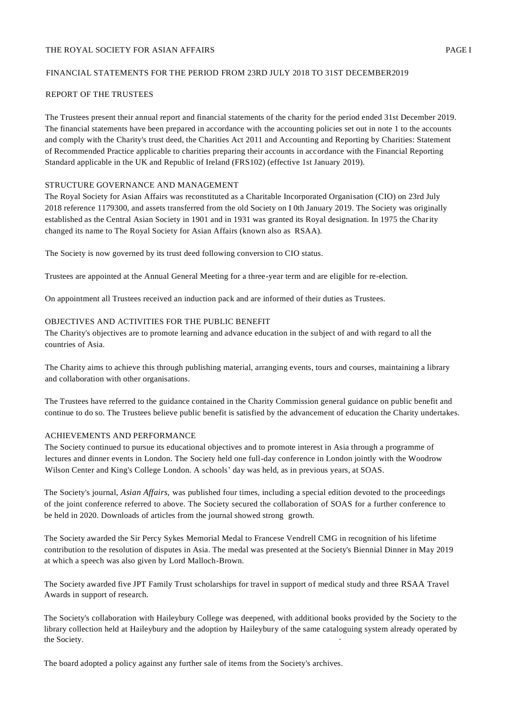# THE ROYAL SOCIETY FOR ASIAN AFFAIRS **EXECUTES PAGE I**

# FINANCIAL STATEMENTS FOR THE PERIOD FROM 23RD JULY 2018 TO 31ST DECEMBER2019

## REPORT OF THE TRUSTEES

The Trustees present their annual report and financial statements of the charity for the period ended 31st December 2019. The financial statements have been prepared in accordance with the accounting policies set out in note 1 to the accounts and comply with the Charity's trust deed, the Charities Act 2011 and Accounting and Reporting by Charities: Statement of Recommended Practice applicable to charities preparing their accounts in accordance with the Financial Reporting Standard applicable in the UK and Republic of Ireland (FRS102) (effective 1st January 2019).

## STRUCTURE GOVERNANCE AND MANAGEMENT

The Royal Society for Asian Affairs was reconstituted as a Charitable Incorporated Organisation (CIO) on 23rd July 2018 reference 1179300, and assets transferred from the old Society on I 0th January 2019. The Society was originally established as the Central Asian Society in 1901 and in 1931 was granted its Royal designation. In 1975 the Charity changed its name to The Royal Society for Asian Affairs (known also as RSAA).

The Society is now governed by its trust deed following conversion to CIO status.

Trustees are appointed at the Annual General Meeting for a three-year term and are eligible for re-election.

On appointment all Trustees received an induction pack and are informed of their duties as Trustees.

### OBJECTIVES AND ACTIVITIES FOR THE PUBLIC BENEFIT

The Charity's objectives are to promote learning and advance education in the subject of and with regard to all the countries of Asia.

The Charity aims to achieve this through publishing material, arranging events, tours and courses, maintaining a library and collaboration with other organisations.

The Trustees have referred to the guidance contained in the Charity Commission general guidance on public benefit and continue to do so. The Trustees believe public benefit is satisfied by the advancement of education the Charity undertakes.

## ACHIEVEMENTS AND PERFORMANCE

The Society continued to pursue its educational objectives and to promote interest in Asia through a programme of lectures and dinner events in London. The Society held one full-day conference in London jointly with the Woodrow Wilson Center and King's College London. A schools' day was held, as in previous years, at SOAS.

The Society's journal, *Asian Affairs,* was published four times, including a special edition devoted to the proceedings of the joint conference referred to above. The Society secured the collaboration of SOAS for a further conference to be held in 2020. Downloads of articles from the journal showed strong growth.

The Society awarded the Sir Percy Sykes Memorial Medal to Francese Vendrell CMG in recognition of his lifetime contribution to the resolution of disputes in Asia. The medal was presented at the Society's Biennial Dinner in May 2019 at which a speech was also given by Lord Malloch-Brown.

The Society awarded five JPT Family Trust scholarships for travel in support of medical study and three RSAA Travel Awards in support of research.

The Society's collaboration with Haileybury College was deepened, with additional books provided by the Society to the library collection held at Haileybury and the adoption by Haileybury of the same cataloguing system already operated by the Society.

The board adopted a policy against any further sale of items from the Society's archives.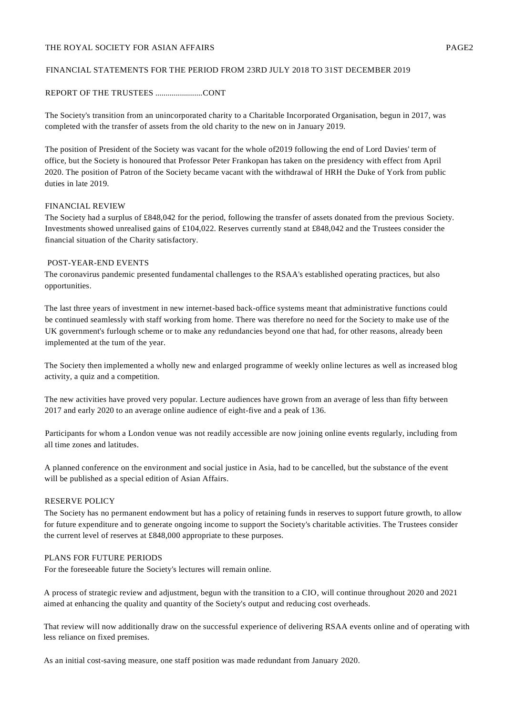# FINANCIAL STATEMENTS FOR THE PERIOD FROM 23RD JULY 2018 TO 31ST DECEMBER 2019

## REPORT OF THE TRUSTEES .......................CONT

The Society's transition from an unincorporated charity to a Charitable Incorporated Organisation, begun in 2017, was completed with the transfer of assets from the old charity to the new on in January 2019.

The position of President of the Society was vacant for the whole of2019 following the end of Lord Davies' term of office, but the Society is honoured that Professor Peter Frankopan has taken on the presidency with effect from April 2020. The position of Patron of the Society became vacant with the withdrawal of HRH the Duke of York from public duties in late 2019.

#### FINANCIAL REVIEW

The Society had a surplus of £848,042 for the period, following the transfer of assets donated from the previous Society. Investments showed unrealised gains of £104,022. Reserves currently stand at £848,042 and the Trustees consider the financial situation of the Charity satisfactory.

#### POST-YEAR-END EVENTS

The coronavirus pandemic presented fundamental challenges to the RSAA's established operating practices, but also opportunities.

The last three years of investment in new internet-based back-office systems meant that administrative functions could be continued seamlessly with staff working from home. There was therefore no need for the Society to make use of the UK government's furlough scheme or to make any redundancies beyond one that had, for other reasons, already been implemented at the tum of the year.

The Society then implemented a wholly new and enlarged programme of weekly online lectures as well as increased blog activity, a quiz and a competition.

The new activities have proved very popular. Lecture audiences have grown from an average of less than fifty between 2017 and early 2020 to an average online audience of eight-five and a peak of 136.

Participants for whom a London venue was not readily accessible are now joining online events regularly, including from all time zones and latitudes.

A planned conference on the environment and social justice in Asia, had to be cancelled, but the substance of the event will be published as a special edition of Asian Affairs*.*

#### RESERVE POLICY

The Society has no permanent endowment but has a policy of retaining funds in reserves to support future growth, to allow for future expenditure and to generate ongoing income to support the Society's charitable activities. The Trustees consider the current level of reserves at £848,000 appropriate to these purposes.

# PLANS FOR FUTURE PERIODS

For the foreseeable future the Society's lectures will remain online.

A process of strategic review and adjustment, begun with the transition to a CIO, will continue throughout 2020 and 2021 aimed at enhancing the quality and quantity of the Society's output and reducing cost overheads.

That review will now additionally draw on the successful experience of delivering RSAA events online and of operating with less reliance on fixed premises.

As an initial cost-saving measure, one staff position was made redundant from January 2020.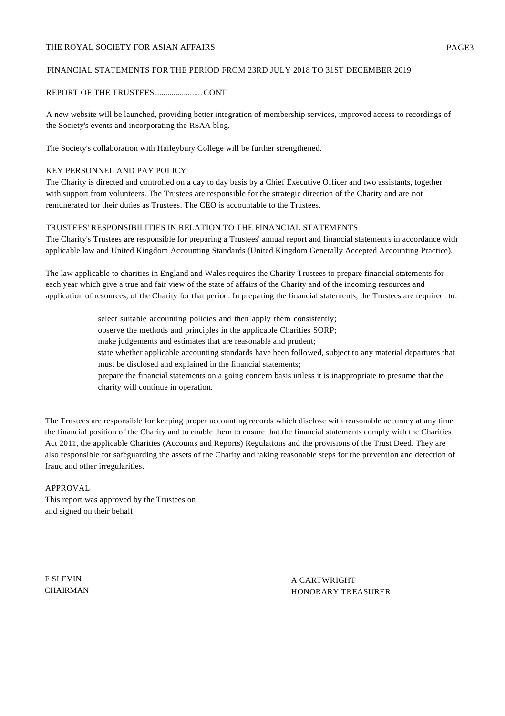# FINANCIAL STATEMENTS FOR THE PERIOD FROM 23RD JULY 2018 TO 31ST DECEMBER 2019

## REPORT OF THE TRUSTEES....................... CONT

A new website will be launched, providing better integration of membership services, improved access to recordings of the Society's events and incorporating the RSAA blog.

The Society's collaboration with Haileybury College will be further strengthened.

## KEY PERSONNEL AND PAY POLICY

The Charity is directed and controlled on a day to day basis by a Chief Executive Officer and two assistants, together with support from volunteers. The Trustees are responsible for the strategic direction of the Charity and are not remunerated for their duties as Trustees. The CEO is accountable to the Trustees.

# TRUSTEES' RESPONSIBILITIES IN RELATION TO THE FINANCIAL STATEMENTS

The Charity's Trustees are responsible for preparing a Trustees' annual report and financial statements in accordance with applicable law and United Kingdom Accounting Standards (United Kingdom Generally Accepted Accounting Practice).

The law applicable to charities in England and Wales requires the Charity Trustees to prepare financial statements for each year which give a true and fair view of the state of affairs of the Charity and of the incoming resources and application of resources, of the Charity for that period. In preparing the financial statements, the Trustees are required to:

- select suitable accounting policies and then apply them consistently;
- observe the methods and principles in the applicable Charities SORP;
- make judgements and estimates that are reasonable and prudent;
- state whether applicable accounting standards have been followed, subject to any material departures that must be disclosed and explained in the financial statements;
- prepare the financial statements on a going concern basis unless it is inappropriate to presume that the charity will continue in operation.

The Trustees are responsible for keeping proper accounting records which disclose with reasonable accuracy at any time the financial position of the Charity and to enable them to ensure that the financial statements comply with the Charities Act 2011, the applicable Charities (Accounts and Reports) Regulations and the provisions of the Trust Deed. They are also responsible for safeguarding the assets of the Charity and taking reasonable steps for the prevention and detection of fraud and other irregularities.

## APPROVAL

This report was approved by the Trustees on and signed on their behalf.

F SLEVIN **CHAIRMAN** 

A CARTWRIGHT HONORARY TREASURER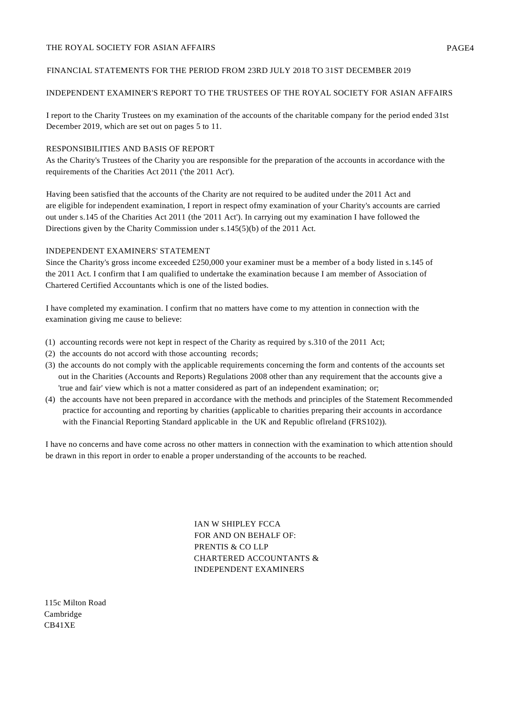# INDEPENDENT EXAMINER'S REPORT TO THE TRUSTEES OF THE ROYAL SOCIETY FOR ASIAN AFFAIRS

I report to the Charity Trustees on my examination of the accounts of the charitable company for the period ended 31st December 2019, which are set out on pages 5 to 11.

# RESPONSIBILITIES AND BASIS OF REPORT

As the Charity's Trustees of the Charity you are responsible for the preparation of the accounts in accordance with the requirements of the Charities Act 2011 ('the 2011 Act').

Having been satisfied that the accounts of the Charity are not required to be audited under the 2011 Act and are eligible for independent examination, I report in respect ofmy examination of your Charity's accounts are carried out under s.145 of the Charities Act 2011 (the '2011 Act'). In carrying out my examination I have followed the Directions given by the Charity Commission under s.145(5)(b) of the 2011 Act.

# INDEPENDENT EXAMINERS' STATEMENT

Since the Charity's gross income exceeded £250,000 your examiner must be a member of a body listed in s.145 of the 2011 Act. I confirm that I am qualified to undertake the examination because I am member of Association of Chartered Certified Accountants which is one of the listed bodies.

I have completed my examination. I confirm that no matters have come to my attention in connection with the examination giving me cause to believe:

- (1) accounting records were not kept in respect of the Charity as required by s.310 of the 2011 Act;
- (2) the accounts do not accord with those accounting records;
- (3) the accounts do not comply with the applicable requirements concerning the form and contents of the accounts set out in the Charities (Accounts and Reports) Regulations 2008 other than any requirement that the accounts give a 'true and fair' view which is not a matter considered as part of an independent examination; or;
- (4) the accounts have not been prepared in accordance with the methods and principles of the Statement Recommended practice for accounting and reporting by charities (applicable to charities preparing their accounts in accordance with the Financial Reporting Standard applicable in the UK and Republic oflreland (FRS102)).

I have no concerns and have come across no other matters in connection with the examination to which attention should be drawn in this report in order to enable a proper understanding of the accounts to be reached.

> IAN W SHIPLEY FCCA FOR AND ON BEHALF OF: PRENTIS & CO LLP CHARTERED ACCOUNTANTS & INDEPENDENT EXAMINERS

115c Milton Road Cambridge CB41XE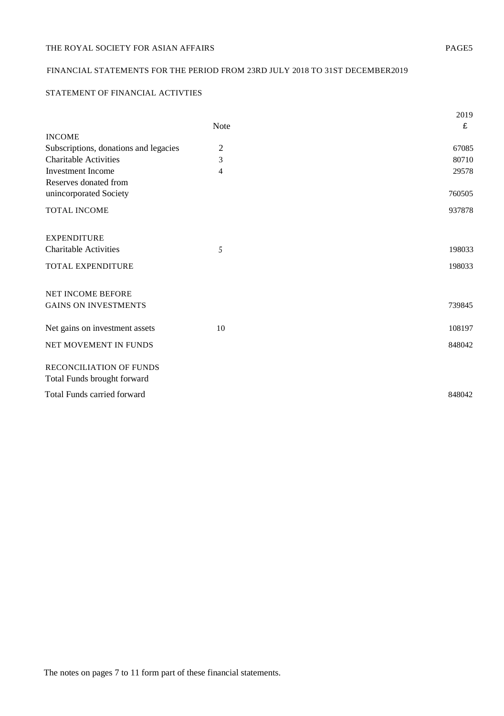# FINANCIAL STATEMENTS FOR THE PERIOD FROM 23RD JULY 2018 TO 31ST DECEMBER2019

# STATEMENT OF FINANCIAL ACTIVTIES

|                                       |                | 2019   |
|---------------------------------------|----------------|--------|
|                                       | <b>Note</b>    | £      |
| <b>INCOME</b>                         |                |        |
| Subscriptions, donations and legacies | $\overline{2}$ | 67085  |
| <b>Charitable Activities</b>          | 3              | 80710  |
| <b>Investment</b> Income              | 4              | 29578  |
| Reserves donated from                 |                |        |
| unincorporated Society                |                | 760505 |
| TOTAL INCOME                          |                | 937878 |
| <b>EXPENDITURE</b>                    |                |        |
| <b>Charitable Activities</b>          |                | 198033 |
|                                       | 5              |        |
| TOTAL EXPENDITURE                     |                | 198033 |
|                                       |                |        |
| NET INCOME BEFORE                     |                |        |
| <b>GAINS ON INVESTMENTS</b>           |                | 739845 |
|                                       |                |        |
| Net gains on investment assets        | 10             | 108197 |
| NET MOVEMENT IN FUNDS                 |                | 848042 |
|                                       |                |        |
| RECONCILIATION OF FUNDS               |                |        |
| Total Funds brought forward           |                |        |
|                                       |                |        |
| Total Funds carried forward           |                | 848042 |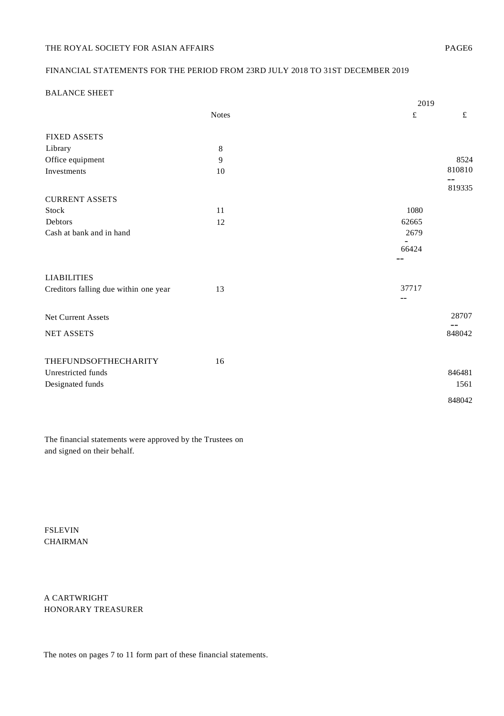# FINANCIAL STATEMENTS FOR THE PERIOD FROM 23RD JULY 2018 TO 31ST DECEMBER 2019

# BALANCE SHEET

|                                       |              | 2019           |
|---------------------------------------|--------------|----------------|
|                                       | <b>Notes</b> | $\pounds$<br>£ |
| <b>FIXED ASSETS</b>                   |              |                |
| Library                               | 8            |                |
| Office equipment                      | 9            | 8524           |
| Investments                           | 10           | 810810         |
|                                       |              | 819335         |
| <b>CURRENT ASSETS</b>                 |              |                |
| Stock                                 | 11           | 1080           |
| Debtors                               | 12           | 62665          |
| Cash at bank and in hand              |              | 2679           |
|                                       |              | 66424          |
|                                       |              |                |
| <b>LIABILITIES</b>                    |              |                |
| Creditors falling due within one year | 13           | 37717          |
|                                       |              | $-$            |
| <b>Net Current Assets</b>             |              | 28707          |
| <b>NET ASSETS</b>                     |              | --<br>848042   |
|                                       |              |                |
|                                       |              |                |
| THEFUNDSOFTHECHARITY                  | 16           |                |
| Unrestricted funds                    |              | 846481         |
| Designated funds                      |              | 1561           |
|                                       |              | 848042         |

The financial statements were approved by the Trustees on and signed on their behalf.

FSLEVIN CHAIRMAN

A CARTWRIGHT HONORARY TREASURER

The notes on pages 7 to 11 form part of these financial statements.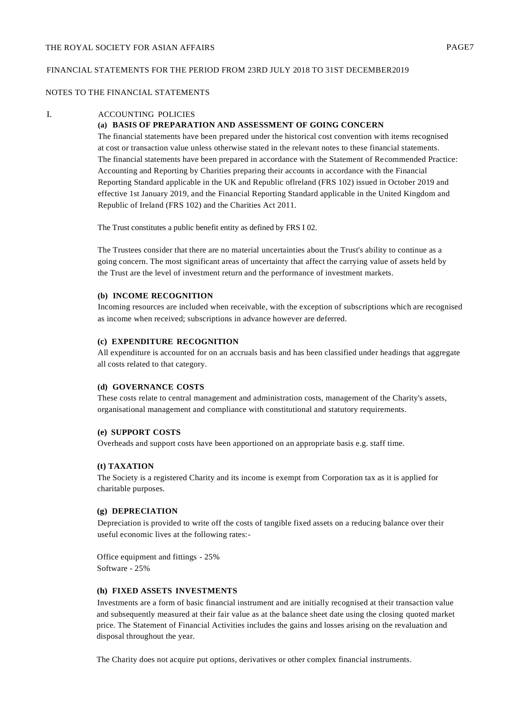#### NOTES TO THE FINANCIAL STATEMENTS

#### I. ACCOUNTING POLICIES

#### **(a) BASIS OF PREPARATION AND ASSESSMENT OF GOING CONCERN**

The financial statements have been prepared under the historical cost convention with items recognised at cost or transaction value unless otherwise stated in the relevant notes to these financial statements. The financial statements have been prepared in accordance with the Statement of Recommended Practice: Accounting and Reporting by Charities preparing their accounts in accordance with the Financial Reporting Standard applicable in the UK and Republic oflreland (FRS 102) issued in October 2019 and effective 1st January 2019, and the Financial Reporting Standard applicable in the United Kingdom and Republic of Ireland (FRS 102) and the Charities Act 2011.

The Trust constitutes a public benefit entity as defined by FRS I 02.

The Trustees consider that there are no material uncertainties about the Trust's ability to continue as a going concern. The most significant areas of uncertainty that affect the carrying value of assets held by the Trust are the level of investment return and the performance of investment markets.

#### **(b) INCOME RECOGNITION**

Incoming resources are included when receivable, with the exception of subscriptions which are recognised as income when received; subscriptions in advance however are deferred.

## **(c) EXPENDITURE RECOGNITION**

All expenditure is accounted for on an accruals basis and has been classified under headings that aggregate all costs related to that category.

#### **(d) GOVERNANCE COSTS**

These costs relate to central management and administration costs, management of the Charity's assets, organisational management and compliance with constitutional and statutory requirements.

## **(e) SUPPORT COSTS**

Overheads and support costs have been apportioned on an appropriate basis e.g. staff time.

## **(t) TAXATION**

The Society is a registered Charity and its income is exempt from Corporation tax as it is applied for charitable purposes.

#### **(g) DEPRECIATION**

Depreciation is provided to write off the costs of tangible fixed assets on a reducing balance over their useful economic lives at the following rates:-

Office equipment and fittings - 25% Software - 25%

# **(h) FIXED ASSETS INVESTMENTS**

Investments are a form of basic financial instrument and are initially recognised at their transaction value and subsequently measured at their fair value as at the balance sheet date using the closing quoted market price. The Statement of Financial Activities includes the gains and losses arising on the revaluation and disposal throughout the year.

The Charity does not acquire put options, derivatives or other complex financial instruments.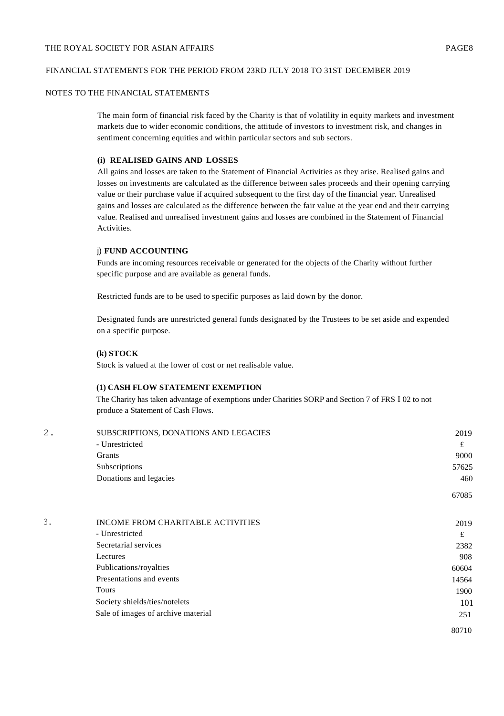# NOTES TO THE FINANCIAL STATEMENTS

The main form of financial risk faced by the Charity is that of volatility in equity markets and investment markets due to wider economic conditions, the attitude of investors to investment risk, and changes in sentiment concerning equities and within particular sectors and sub sectors.

## **(i) REALISED GAINS AND LOSSES**

All gains and losses are taken to the Statement of Financial Activities as they arise. Realised gains and losses on investments are calculated as the difference between sales proceeds and their opening carrying value or their purchase value if acquired subsequent to the first day of the financial year. Unrealised gains and losses are calculated as the difference between the fair value at the year end and their carrying value. Realised and unrealised investment gains and losses are combined in the Statement of Financial Activities.

## j) **FUND ACCOUNTING**

Funds are incoming resources receivable or generated for the objects of the Charity without further specific purpose and are available as general funds.

Restricted funds are to be used to specific purposes as laid down by the donor.

Designated funds are unrestricted general funds designated by the Trustees to be set aside and expended on a specific purpose.

# **(k) STOCK**

Stock is valued at the lower of cost or net realisable value.

#### **(1) CASH FLOW STATEMENT EXEMPTION**

The Charity has taken advantage of exemptions under Charities SORP and Section 7 of FRS I 02 to not produce a Statement of Cash Flows.

| 2.                     | SUBSCRIPTIONS, DONATIONS AND LEGACIES | 2019  |
|------------------------|---------------------------------------|-------|
|                        | - Unrestricted                        | £     |
|                        | Grants                                | 9000  |
|                        | Subscriptions                         | 57625 |
| Donations and legacies | 460                                   |       |
|                        |                                       | 67085 |
|                        |                                       |       |

| INCOME FROM CHARITABLE ACTIVITIES  | 2019  |
|------------------------------------|-------|
| - Unrestricted                     | £     |
| Secretarial services               | 2382  |
| Lectures                           | 908   |
| Publications/royalties             | 60604 |
| Presentations and events           | 14564 |
| <b>Tours</b>                       | 1900  |
| Society shields/ties/notelets      | 101   |
| Sale of images of archive material | 251   |
|                                    | 80710 |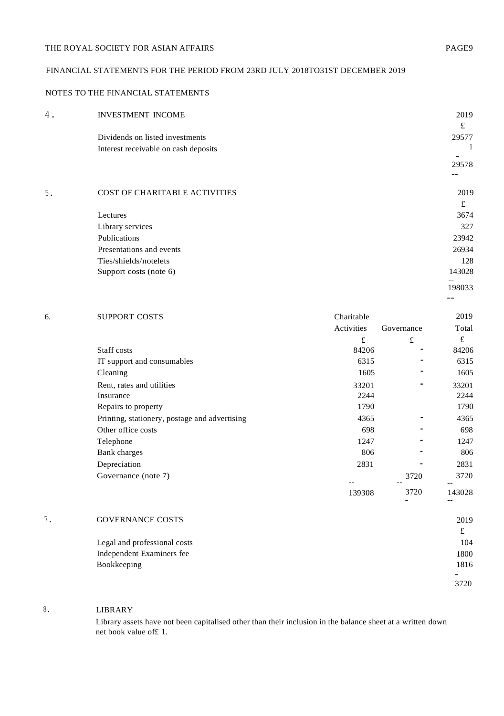# FINANCIAL STATEMENTS FOR THE PERIOD FROM 23RD JULY 2018TO31ST DECEMBER 2019

# NOTES TO THE FINANCIAL STATEMENTS

| 4. | <b>INVESTMENT INCOME</b>             |            |            | 2019      |
|----|--------------------------------------|------------|------------|-----------|
|    |                                      |            |            | £         |
|    | Dividends on listed investments      |            |            | 29577     |
|    | Interest receivable on cash deposits |            |            |           |
|    |                                      |            |            | 29578     |
|    |                                      |            |            |           |
| 5. | COST OF CHARITABLE ACTIVITIES        |            |            | 2019      |
|    |                                      |            |            | $\pounds$ |
|    | Lectures                             |            |            | 3674      |
|    | Library services                     |            |            | 327       |
|    | Publications                         |            |            | 23942     |
|    | Presentations and events             |            |            | 26934     |
|    | Ties/shields/notelets                |            |            | 128       |
|    | Support costs (note 6)               |            |            | 143028    |
|    |                                      |            |            | 198033    |
|    |                                      |            |            |           |
| 6. | SUPPORT COSTS                        | Charitable |            | 2019      |
|    |                                      | Activities | Governance | Total     |
|    |                                      | £          | £          | £         |
|    | Staff costs                          | 84206      |            | 84206     |
|    | IT support and consumables           | 6315       |            | 6315      |
|    | Cleaning                             | 1605       |            | 1605      |
|    | Rent, rates and utilities            | 33201      |            | 33201     |

|    | Telephone                    | 1247   |      | 1247   |
|----|------------------------------|--------|------|--------|
|    | Bank charges                 | 806    |      | 806    |
|    | Depreciation                 | 2831   |      | 2831   |
|    | Governance (note 7)          | $- -$  | 3720 | 3720   |
|    |                              | 139308 | 3720 | 143028 |
| 7. | <b>GOVERNANCE COSTS</b>      |        |      | 2019   |
|    |                              |        |      | £      |
|    | Legal and professional costs |        |      | 104    |
|    | Independent Examiners fee    |        |      | 1800   |
|    | Bookkeeping                  |        |      | 1816   |
|    |                              |        |      |        |

Insurance 2244 2244 2244 Repairs to property 1790 1790 Printing, stationery, postage and advertising 4365 4365 4365 Other office costs 698 - 698

# 8. LIBRARY

Library assets have not been capitalised other than their inclusion in the balance sheet at a written down net book value of£ 1.

3720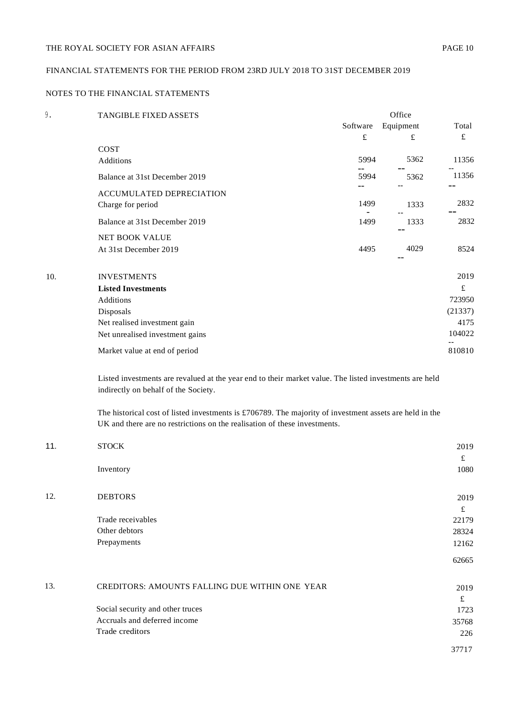# FINANCIAL STATEMENTS FOR THE PERIOD FROM 23RD JULY 2018 TO 31ST DECEMBER 2019

# NOTES TO THE FINANCIAL STATEMENTS

| 9.  | TANGIBLE FIXED ASSETS           |          | Office    |         |  |  |
|-----|---------------------------------|----------|-----------|---------|--|--|
|     |                                 | Software | Equipment | Total   |  |  |
|     |                                 | £        | £         | £       |  |  |
|     | COST                            |          |           |         |  |  |
|     | Additions                       | 5994     | 5362      | 11356   |  |  |
|     | Balance at 31st December 2019   | 5994     | 5362      | 11356   |  |  |
|     | ACCUMULATED DEPRECIATION        |          |           |         |  |  |
|     | Charge for period               | 1499     | 1333      | 2832    |  |  |
|     | Balance at 31st December 2019   | 1499     | 1333      | 2832    |  |  |
|     | NET BOOK VALUE                  |          |           |         |  |  |
|     | At 31st December 2019           | 4495     | 4029      | 8524    |  |  |
| 10. | <b>INVESTMENTS</b>              |          |           | 2019    |  |  |
|     | <b>Listed Investments</b>       |          |           | £       |  |  |
|     | Additions                       |          |           | 723950  |  |  |
|     | Disposals                       |          |           | (21337) |  |  |
|     | Net realised investment gain    |          |           | 4175    |  |  |
|     | Net unrealised investment gains |          |           | 104022  |  |  |
|     | Market value at end of period   |          |           | 810810  |  |  |
|     |                                 |          |           |         |  |  |

Listed investments are revalued at the year end to their market value. The listed investments are held indirectly on behalf of the Society.

The historical cost of listed investments is £706789. The majority of investment assets are held in the UK and there are no restrictions on the realisation of these investments.

| 11. | <b>STOCK</b>                                          | 2019        |
|-----|-------------------------------------------------------|-------------|
|     |                                                       | £           |
|     | Inventory                                             | 1080        |
|     |                                                       |             |
| 12. | <b>DEBTORS</b>                                        | 2019<br>f   |
|     | Trade receivables                                     | 22179       |
|     | Other debtors                                         | 28324       |
|     | Prepayments                                           | 12162       |
|     |                                                       | 62665       |
| 13. | <b>CREDITORS: AMOUNTS FALLING DUE WITHIN ONE YEAR</b> | 2019        |
|     |                                                       | $\mathbf f$ |
|     | Social security and other truces                      | 1723        |
|     | Accruals and deferred income                          | 35768       |
|     | Trade creditors                                       | 226         |
|     |                                                       | 37717       |